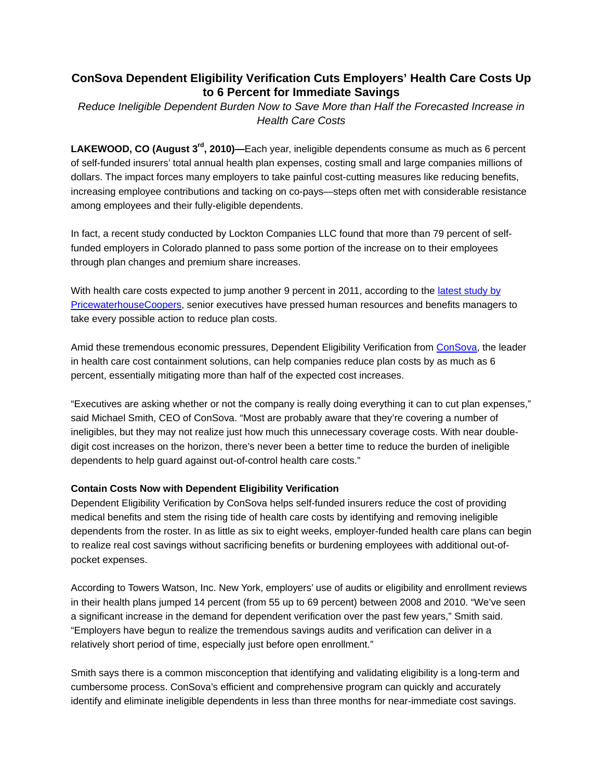# **ConSova Dependent Eligibility Verification Cuts Employers' Health Care Costs Up to 6 Percent for Immediate Savings**

*Reduce Ineligible Dependent Burden Now to Save More than Half the Forecasted Increase in Health Care Costs* 

**LAKEWOOD, CO (August 3rd, 2010)—**Each year, ineligible dependents consume as much as 6 percent of self-funded insurers' total annual health plan expenses, costing small and large companies millions of dollars. The impact forces many employers to take painful cost-cutting measures like reducing benefits, increasing employee contributions and tacking on co-pays—steps often met with considerable resistance among employees and their fully-eligible dependents.

In fact, a recent study conducted by Lockton Companies LLC found that more than 79 percent of selffunded employers in Colorado planned to pass some portion of the increase on to their employees through plan changes and premium share increases.

With health care costs expected to jump another 9 percent in 2011, according to the latest study by PricewaterhouseCoopers, senior executives have pressed human resources and benefits managers to take every possible action to reduce plan costs.

Amid these tremendous economic pressures, Dependent Eligibility Verification from ConSova, the leader in health care cost containment solutions, can help companies reduce plan costs by as much as 6 percent, essentially mitigating more than half of the expected cost increases.

"Executives are asking whether or not the company is really doing everything it can to cut plan expenses," said Michael Smith, CEO of ConSova. "Most are probably aware that they're covering a number of ineligibles, but they may not realize just how much this unnecessary coverage costs. With near doubledigit cost increases on the horizon, there's never been a better time to reduce the burden of ineligible dependents to help guard against out-of-control health care costs."

## **Contain Costs Now with Dependent Eligibility Verification**

Dependent Eligibility Verification by ConSova helps self-funded insurers reduce the cost of providing medical benefits and stem the rising tide of health care costs by identifying and removing ineligible dependents from the roster. In as little as six to eight weeks, employer-funded health care plans can begin to realize real cost savings without sacrificing benefits or burdening employees with additional out-ofpocket expenses.

According to Towers Watson, Inc. New York, employers' use of audits or eligibility and enrollment reviews in their health plans jumped 14 percent (from 55 up to 69 percent) between 2008 and 2010. "We've seen a significant increase in the demand for dependent verification over the past few years," Smith said. "Employers have begun to realize the tremendous savings audits and verification can deliver in a relatively short period of time, especially just before open enrollment."

Smith says there is a common misconception that identifying and validating eligibility is a long-term and cumbersome process. ConSova's efficient and comprehensive program can quickly and accurately identify and eliminate ineligible dependents in less than three months for near-immediate cost savings.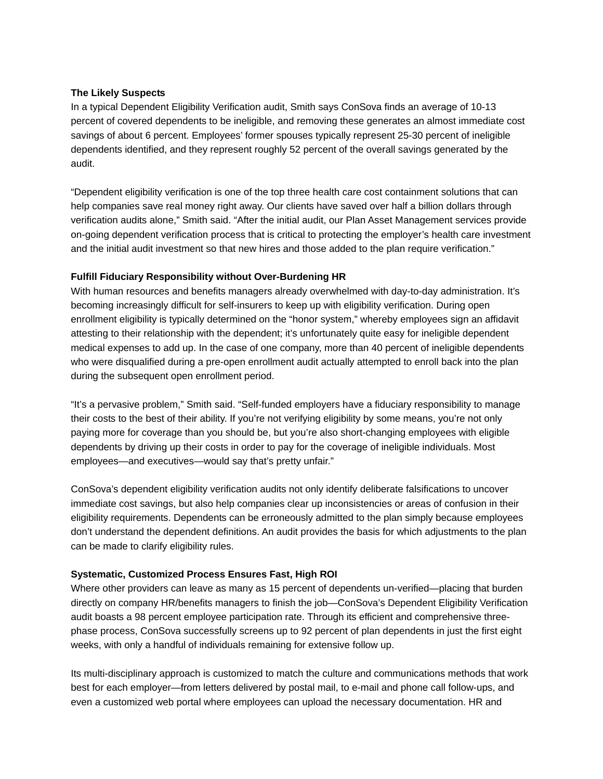#### **The Likely Suspects**

In a typical Dependent Eligibility Verification audit, Smith says ConSova finds an average of 10-13 percent of covered dependents to be ineligible, and removing these generates an almost immediate cost savings of about 6 percent. Employees' former spouses typically represent 25-30 percent of ineligible dependents identified, and they represent roughly 52 percent of the overall savings generated by the audit.

"Dependent eligibility verification is one of the top three health care cost containment solutions that can help companies save real money right away. Our clients have saved over half a billion dollars through verification audits alone," Smith said. "After the initial audit, our Plan Asset Management services provide on-going dependent verification process that is critical to protecting the employer's health care investment and the initial audit investment so that new hires and those added to the plan require verification."

## **Fulfill Fiduciary Responsibility without Over-Burdening HR**

With human resources and benefits managers already overwhelmed with day-to-day administration. It's becoming increasingly difficult for self-insurers to keep up with eligibility verification. During open enrollment eligibility is typically determined on the "honor system," whereby employees sign an affidavit attesting to their relationship with the dependent; it's unfortunately quite easy for ineligible dependent medical expenses to add up. In the case of one company, more than 40 percent of ineligible dependents who were disqualified during a pre-open enrollment audit actually attempted to enroll back into the plan during the subsequent open enrollment period.

"It's a pervasive problem," Smith said. "Self-funded employers have a fiduciary responsibility to manage their costs to the best of their ability. If you're not verifying eligibility by some means, you're not only paying more for coverage than you should be, but you're also short-changing employees with eligible dependents by driving up their costs in order to pay for the coverage of ineligible individuals. Most employees—and executives—would say that's pretty unfair."

ConSova's dependent eligibility verification audits not only identify deliberate falsifications to uncover immediate cost savings, but also help companies clear up inconsistencies or areas of confusion in their eligibility requirements. Dependents can be erroneously admitted to the plan simply because employees don't understand the dependent definitions. An audit provides the basis for which adjustments to the plan can be made to clarify eligibility rules.

## **Systematic, Customized Process Ensures Fast, High ROI**

Where other providers can leave as many as 15 percent of dependents un-verified—placing that burden directly on company HR/benefits managers to finish the job—ConSova's Dependent Eligibility Verification audit boasts a 98 percent employee participation rate. Through its efficient and comprehensive threephase process, ConSova successfully screens up to 92 percent of plan dependents in just the first eight weeks, with only a handful of individuals remaining for extensive follow up.

Its multi-disciplinary approach is customized to match the culture and communications methods that work best for each employer—from letters delivered by postal mail, to e-mail and phone call follow-ups, and even a customized web portal where employees can upload the necessary documentation. HR and